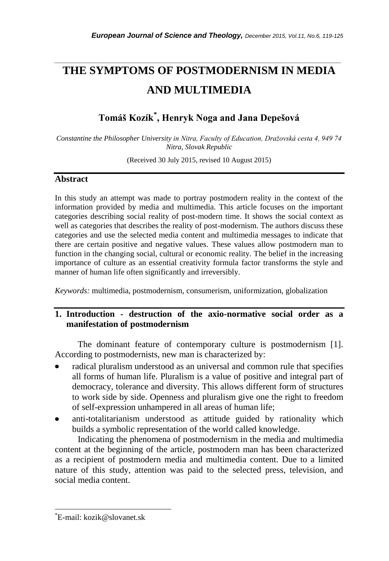# **THE SYMPTOMS OF POSTMODERNISM IN MEDIA AND MULTIMEDIA**

*\_\_\_\_\_\_\_\_\_\_\_\_\_\_\_\_\_\_\_\_\_\_\_\_\_\_\_\_\_\_\_\_\_\_\_\_\_\_\_\_\_\_\_\_\_\_\_\_\_\_\_\_\_\_\_\_\_\_\_\_\_\_\_\_\_\_\_\_\_\_\_*

**Tomáš Kozík\* , Henryk Noga and Jana Depešová**

*Constantine the Philosopher University in Nitra, Faculty of Education, Dražovská cesta 4, 949 74 Nitra, Slovak Republic*

(Received 30 July 2015, revised 10 August 2015)

#### **Abstract**

In this study an attempt was made to portray postmodern reality in the context of the information provided by media and multimedia. This article focuses on the important categories describing social reality of post-modern time. It shows the social context as well as categories that describes the reality of post-modernism. The authors discuss these categories and use the selected media content and multimedia messages to indicate that there are certain positive and negative values. These values allow postmodern man to function in the changing social, cultural or economic reality. The belief in the increasing importance of culture as an essential creativity formula factor transforms the style and manner of human life often significantly and irreversibly.

*Keywords:* multimedia, postmodernism, consumerism, uniformization, globalization

# **1. Introduction - destruction of the axio-normative social order as a manifestation of postmodernism**

The dominant feature of contemporary culture is postmodernism [1]. According to postmodernists, new man is characterized by:

- radical pluralism understood as an universal and common rule that specifies all forms of human life. Pluralism is a value of positive and integral part of democracy, tolerance and diversity. This allows different form of structures to work side by side. Openness and pluralism give one the right to freedom of self-expression unhampered in all areas of human life;
- anti-totalitarianism understood as attitude guided by rationality which builds a symbolic representation of the world called knowledge.

Indicating the phenomena of postmodernism in the media and multimedia content at the beginning of the article, postmodern man has been characterized as a recipient of postmodern media and multimedia content. Due to a limited nature of this study, attention was paid to the selected press, television, and social media content.

l

<sup>\*</sup>E-mail: kozik@slovanet.sk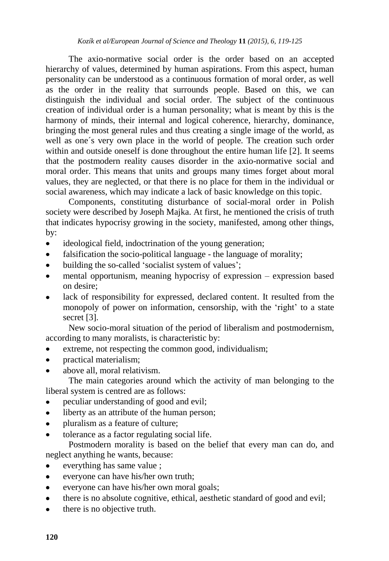The axio-normative social order is the order based on an accepted hierarchy of values, determined by human aspirations. From this aspect, human personality can be understood as a continuous formation of moral order, as well as the order in the reality that surrounds people. Based on this, we can distinguish the individual and social order. The subject of the continuous creation of individual order is a human personality; what is meant by this is the harmony of minds, their internal and logical coherence, hierarchy, dominance, bringing the most general rules and thus creating a single image of the world, as well as one´s very own place in the world of people. The creation such order within and outside oneself is done throughout the entire human life [2]. It seems that the postmodern reality causes disorder in the axio-normative social and moral order. This means that units and groups many times forget about moral values, they are neglected, or that there is no place for them in the individual or social awareness, which may indicate a lack of basic knowledge on this topic.

Components, constituting disturbance of social-moral order in Polish society were described by Joseph Majka. At first, he mentioned the crisis of truth that indicates hypocrisy growing in the society, manifested, among other things, by:

- ideological field, indoctrination of the young generation;  $\bullet$
- $\bullet$ falsification the socio-political language - the language of morality;
- building the so-called 'socialist system of values';  $\bullet$
- mental opportunism, meaning hypocrisy of expression expression based  $\bullet$ on desire;
- lack of responsibility for expressed, declared content. It resulted from the monopoly of power on information, censorship, with the 'right' to a state secret [3].

New socio-moral situation of the period of liberalism and postmodernism, according to many moralists, is characteristic by:

- extreme, not respecting the common good, individualism;  $\bullet$
- practical materialism;  $\bullet$
- above all, moral relativism.

The main categories around which the activity of man belonging to the liberal system is centred are as follows:

- peculiar understanding of good and evil;  $\bullet$
- liberty as an attribute of the human person;  $\bullet$
- $\bullet$ pluralism as a feature of culture;
- tolerance as a factor regulating social life.  $\bullet$

Postmodern morality is based on the belief that every man can do, and neglect anything he wants, because:

- everything has same value ;
- everyone can have his/her own truth;  $\bullet$
- everyone can have his/her own moral goals;  $\bullet$
- there is no absolute cognitive, ethical, aesthetic standard of good and evil;  $\bullet$
- there is no objective truth.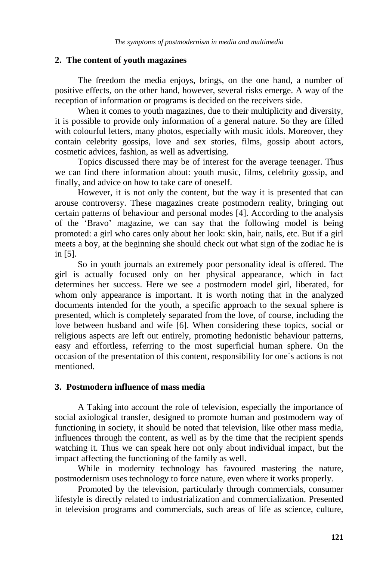#### **2. The content of youth magazines**

The freedom the media enjoys, brings, on the one hand, a number of positive effects, on the other hand, however, several risks emerge. A way of the reception of information or programs is decided on the receivers side.

When it comes to youth magazines, due to their multiplicity and diversity, it is possible to provide only information of a general nature. So they are filled with colourful letters, many photos, especially with music idols. Moreover, they contain celebrity gossips, love and sex stories, films, gossip about actors, cosmetic advices, fashion, as well as advertising.

Topics discussed there may be of interest for the average teenager. Thus we can find there information about: youth music, films, celebrity gossip, and finally, and advice on how to take care of oneself.

However, it is not only the content, but the way it is presented that can arouse controversy. These magazines create postmodern reality, bringing out certain patterns of behaviour and personal modes [4]. According to the analysis of the 'Bravo' magazine, we can say that the following model is being promoted: a girl who cares only about her look: skin, hair, nails, etc. But if a girl meets a boy, at the beginning she should check out what sign of the zodiac he is in [5].

So in youth journals an extremely poor personality ideal is offered. The girl is actually focused only on her physical appearance, which in fact determines her success. Here we see a postmodern model girl, liberated, for whom only appearance is important. It is worth noting that in the analyzed documents intended for the youth, a specific approach to the sexual sphere is presented, which is completely separated from the love, of course, including the love between husband and wife [6]. When considering these topics, social or religious aspects are left out entirely, promoting hedonistic behaviour patterns, easy and effortless, referring to the most superficial human sphere. On the occasion of the presentation of this content, responsibility for one´s actions is not mentioned.

# **3. Postmodern influence of mass media**

A Taking into account the role of television, especially the importance of social axiological transfer, designed to promote human and postmodern way of functioning in society, it should be noted that television, like other mass media, influences through the content, as well as by the time that the recipient spends watching it. Thus we can speak here not only about individual impact, but the impact affecting the functioning of the family as well.

While in modernity technology has favoured mastering the nature, postmodernism uses technology to force nature, even where it works properly.

Promoted by the television, particularly through commercials, consumer lifestyle is directly related to industrialization and commercialization. Presented in television programs and commercials, such areas of life as science, culture,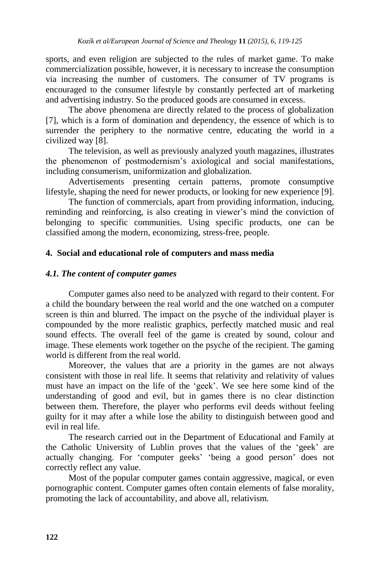sports, and even religion are subjected to the rules of market game. To make commercialization possible, however, it is necessary to increase the consumption via increasing the number of customers. The consumer of TV programs is encouraged to the consumer lifestyle by constantly perfected art of marketing and advertising industry. So the produced goods are consumed in excess.

The above phenomena are directly related to the process of globalization [7], which is a form of domination and dependency, the essence of which is to surrender the periphery to the normative centre, educating the world in a civilized way [8].

The television, as well as previously analyzed youth magazines, illustrates the phenomenon of postmodernism's axiological and social manifestations, including consumerism, uniformization and globalization.

Advertisements presenting certain patterns, promote consumptive lifestyle, shaping the need for newer products, or looking for new experience [9].

The function of commercials, apart from providing information, inducing, reminding and reinforcing, is also creating in viewer's mind the conviction of belonging to specific communities. Using specific products, one can be classified among the modern, economizing, stress-free, people.

# **4. Social and educational role of computers and mass media**

### *4.1. The content of computer games*

Computer games also need to be analyzed with regard to their content. For a child the boundary between the real world and the one watched on a computer screen is thin and blurred. The impact on the psyche of the individual player is compounded by the more realistic graphics, perfectly matched music and real sound effects. The overall feel of the game is created by sound, colour and image. These elements work together on the psyche of the recipient. The gaming world is different from the real world.

Moreover, the values that are a priority in the games are not always consistent with those in real life. It seems that relativity and relativity of values must have an impact on the life of the 'geek'. We see here some kind of the understanding of good and evil, but in games there is no clear distinction between them. Therefore, the player who performs evil deeds without feeling guilty for it may after a while lose the ability to distinguish between good and evil in real life.

The research carried out in the Department of Educational and Family at the Catholic University of Lublin proves that the values of the 'geek' are actually changing. For 'computer geeks' 'being a good person' does not correctly reflect any value.

Most of the popular computer games contain aggressive, magical, or even pornographic content. Computer games often contain elements of false morality, promoting the lack of accountability, and above all, relativism.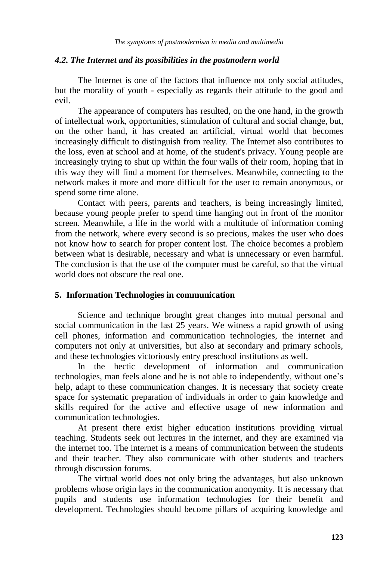#### *4.2. The Internet and its possibilities in the postmodern world*

The Internet is one of the factors that influence not only social attitudes, but the morality of youth - especially as regards their attitude to the good and evil.

The appearance of computers has resulted, on the one hand, in the growth of intellectual work, opportunities, stimulation of cultural and social change, but, on the other hand, it has created an artificial, virtual world that becomes increasingly difficult to distinguish from reality. The Internet also contributes to the loss, even at school and at home, of the student's privacy. Young people are increasingly trying to shut up within the four walls of their room, hoping that in this way they will find a moment for themselves. Meanwhile, connecting to the network makes it more and more difficult for the user to remain anonymous, or spend some time alone.

Contact with peers, parents and teachers, is being increasingly limited, because young people prefer to spend time hanging out in front of the monitor screen. Meanwhile, a life in the world with a multitude of information coming from the network, where every second is so precious, makes the user who does not know how to search for proper content lost. The choice becomes a problem between what is desirable, necessary and what is unnecessary or even harmful. The conclusion is that the use of the computer must be careful, so that the virtual world does not obscure the real one.

# **5. Information Technologies in communication**

Science and technique brought great changes into mutual personal and social communication in the last 25 years. We witness a rapid growth of using cell phones, information and communication technologies, the internet and computers not only at universities, but also at secondary and primary schools, and these technologies victoriously entry preschool institutions as well.

In the hectic development of information and communication technologies, man feels alone and he is not able to independently, without one's help, adapt to these communication changes. It is necessary that society create space for systematic preparation of individuals in order to gain knowledge and skills required for the active and effective usage of new information and communication technologies.

At present there exist higher education institutions providing virtual teaching. Students seek out lectures in the internet, and they are examined via the internet too. The internet is a means of communication between the students and their teacher. They also communicate with other students and teachers through discussion forums.

The virtual world does not only bring the advantages, but also unknown problems whose origin lays in the communication anonymity. It is necessary that pupils and students use information technologies for their benefit and development. Technologies should become pillars of acquiring knowledge and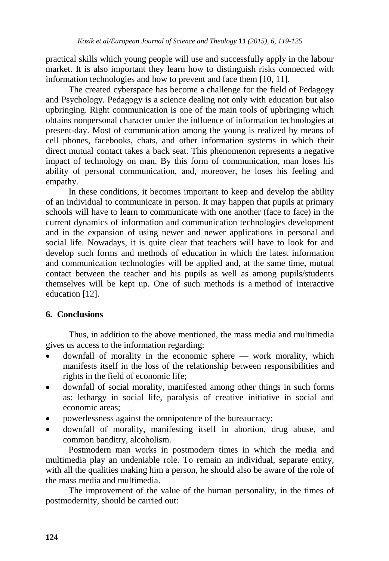practical skills which young people will use and successfully apply in the labour market. It is also important they learn how to distinguish risks connected with information technologies and how to prevent and face them [10, 11].

The created cyberspace has become a challenge for the field of Pedagogy and Psychology. Pedagogy is a science dealing not only with education but also upbringing. Right communication is one of the main tools of upbringing which obtains nonpersonal character under the influence of information technologies at present-day. Most of communication among the young is realized by means of cell phones, facebooks, chats, and other information systems in which their direct mutual contact takes a back seat. This phenomenon represents a negative impact of technology on man. By this form of communication, man loses his ability of personal communication, and, moreover, he loses his feeling and empathy.

In these conditions, it becomes important to keep and develop the ability of an individual to communicate in person. It may happen that pupils at primary schools will have to learn to communicate with one another (face to face) in the current dynamics of information and communication technologies development and in the expansion of using newer and newer applications in personal and social life. Nowadays, it is quite clear that teachers will have to look for and develop such forms and methods of education in which the latest information and communication technologies will be applied and, at the same time, mutual contact between the teacher and his pupils as well as among pupils/students themselves will be kept up. One of such methods is a method of interactive education [12].

# **6. Conclusions**

Thus, in addition to the above mentioned, the mass media and multimedia gives us access to the information regarding:

- downfall of morality in the economic sphere work morality, which manifests itself in the loss of the relationship between responsibilities and rights in the field of economic life;
- downfall of social morality, manifested among other things in such forms as: lethargy in social life, paralysis of creative initiative in social and economic areas;
- powerlessness against the omnipotence of the bureaucracy;
- downfall of morality, manifesting itself in abortion, drug abuse, and common banditry, alcoholism.

Postmodern man works in postmodern times in which the media and multimedia play an undeniable role. To remain an individual, separate entity, with all the qualities making him a person, he should also be aware of the role of the mass media and multimedia.

The improvement of the value of the human personality, in the times of postmodernity, should be carried out: